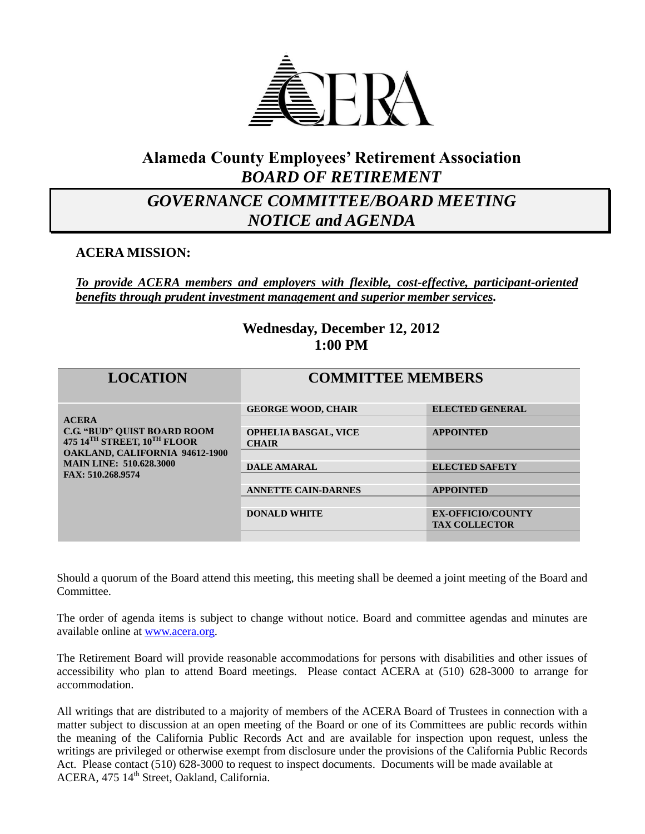

### **Alameda County Employees' Retirement Association** *BOARD OF RETIREMENT*

## *GOVERNANCE COMMITTEE/BOARD MEETING NOTICE and AGENDA*

**ACERA MISSION:**

*To provide ACERA members and employers with flexible, cost-effective, participant-oriented benefits through prudent investment management and superior member services.*

### **Wednesday, December 12, 2012 1:00 PM**

| <b>LOCATION</b>                                                   | <b>COMMITTEE MEMBERS</b>                    |                          |
|-------------------------------------------------------------------|---------------------------------------------|--------------------------|
|                                                                   |                                             |                          |
|                                                                   | <b>GEORGE WOOD, CHAIR</b>                   | <b>ELECTED GENERAL</b>   |
| <b>ACERA</b>                                                      |                                             |                          |
| <b>C.G. "BUD" OUIST BOARD ROOM</b><br>475 14TH STREET, 10TH FLOOR | <b>OPHELIA BASGAL, VICE</b><br><b>CHAIR</b> | <b>APPOINTED</b>         |
| <b>OAKLAND, CALIFORNIA 94612-1900</b>                             |                                             |                          |
| <b>MAIN LINE: 510.628.3000</b>                                    | <b>DALE AMARAL</b>                          | <b>ELECTED SAFETY</b>    |
| FAX: 510.268.9574                                                 |                                             |                          |
|                                                                   | <b>ANNETTE CAIN-DARNES</b>                  | <b>APPOINTED</b>         |
|                                                                   |                                             |                          |
|                                                                   | <b>DONALD WHITE</b>                         | <b>EX-OFFICIO/COUNTY</b> |
|                                                                   |                                             | <b>TAX COLLECTOR</b>     |
|                                                                   |                                             |                          |

Should a quorum of the Board attend this meeting, this meeting shall be deemed a joint meeting of the Board and Committee.

The order of agenda items is subject to change without notice. Board and committee agendas and minutes are available online at [www.acera.org.](http://www.acera.org/)

The Retirement Board will provide reasonable accommodations for persons with disabilities and other issues of accessibility who plan to attend Board meetings. Please contact ACERA at (510) 628-3000 to arrange for accommodation.

All writings that are distributed to a majority of members of the ACERA Board of Trustees in connection with a matter subject to discussion at an open meeting of the Board or one of its Committees are public records within the meaning of the California Public Records Act and are available for inspection upon request, unless the writings are privileged or otherwise exempt from disclosure under the provisions of the California Public Records Act. Please contact (510) 628-3000 to request to inspect documents. Documents will be made available at ACERA, 475 14<sup>th</sup> Street, Oakland, California.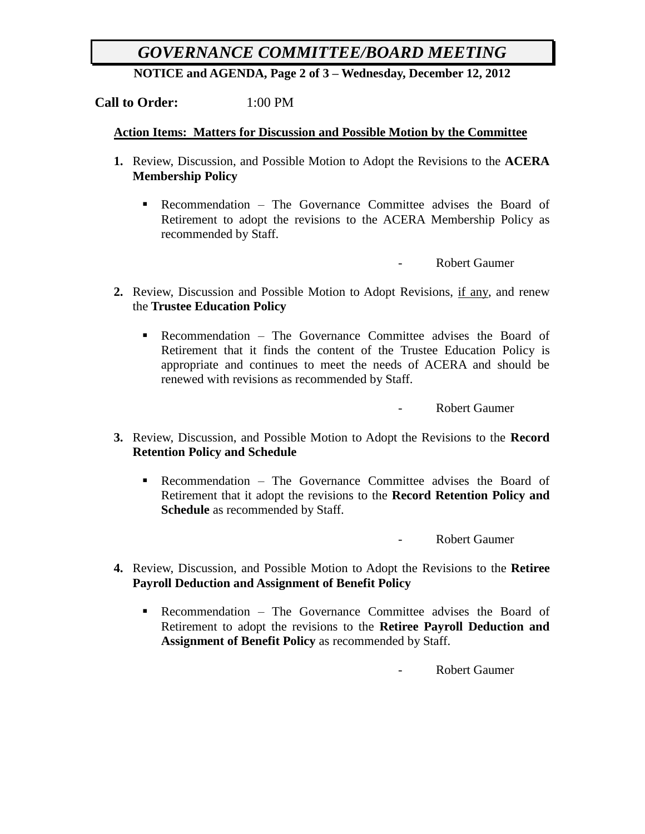## *GOVERNANCE COMMITTEE/BOARD MEETING*

**NOTICE and AGENDA, Page 2 of 3 – Wednesday, December 12, 2012**

#### **Call to Order:** 1:00 PM

#### **Action Items: Matters for Discussion and Possible Motion by the Committee**

- **1.** Review, Discussion, and Possible Motion to Adopt the Revisions to the **ACERA Membership Policy**
	- Recommendation The Governance Committee advises the Board of Retirement to adopt the revisions to the ACERA Membership Policy as recommended by Staff.

- Robert Gaumer

- **2.** Review, Discussion and Possible Motion to Adopt Revisions, if any, and renew the **Trustee Education Policy**
	- Recommendation The Governance Committee advises the Board of Retirement that it finds the content of the Trustee Education Policy is appropriate and continues to meet the needs of ACERA and should be renewed with revisions as recommended by Staff.

- Robert Gaumer

- **3.** Review, Discussion, and Possible Motion to Adopt the Revisions to the **Record Retention Policy and Schedule**
	- Recommendation The Governance Committee advises the Board of Retirement that it adopt the revisions to the **Record Retention Policy and Schedule** as recommended by Staff.

Robert Gaumer

- **4.** Review, Discussion, and Possible Motion to Adopt the Revisions to the **Retiree Payroll Deduction and Assignment of Benefit Policy**
	- Recommendation The Governance Committee advises the Board of Retirement to adopt the revisions to the **Retiree Payroll Deduction and Assignment of Benefit Policy** as recommended by Staff.

Robert Gaumer